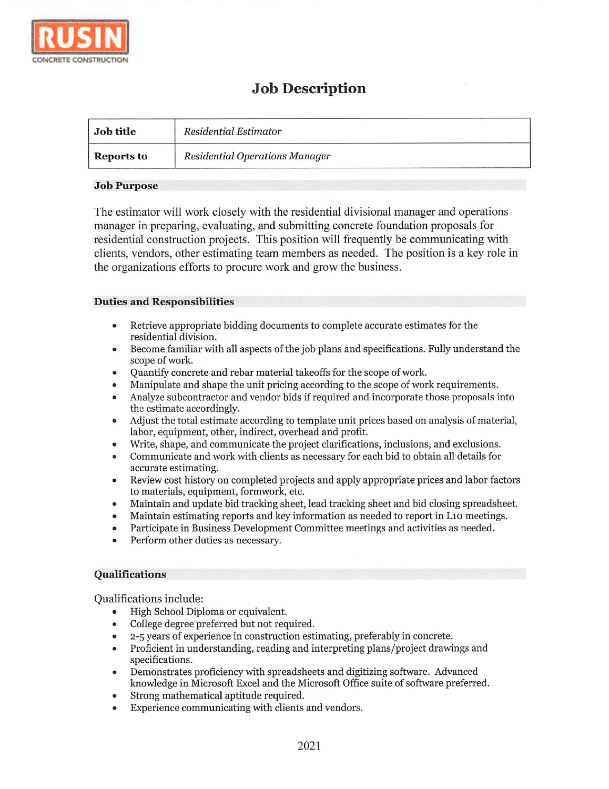

# Job Description

| <b>Job title</b> | Residential Estimator          |
|------------------|--------------------------------|
| Reports to       | Residential Operations Manager |

### Job Purpose

The estimator will work closely with the residential divisional manager and operations manager in preparing, evaluating, and submitting concrete foundation proposals for residential construction projects. This position will frequently be communicating with clients, vendors, other estimating team members as needed. The position is a key role in the organizations efforts to procure work and grow the business.

## Duties and Responsibilities

- Retrieve appropriate bidding documents to complete accurate estimates for the  $\bullet$ residential division.
- Become familiar with all aspects of the job plans and specifications. Fully understand the scope of work.
- Quantity concrete and rebar material takeoffs for the scope of work.
- Manipulate and shape the unit pricing according to the scope of work requirements.
- Analyze subcontractor and vendor bids if required and incorporate those proposals into the estimate accordingly.
- Adjust the total estimate according to template unit prices based on analysis of material, labor, equipment, other, indirect, overhead and profit.
- Write, shape, and communicate the project clarifications, inclusions, and exclusions.
- Communicate and work with clients as necessary for each bid to obtain all details for accurate estimating.
- Review cost history on completed projects and apply appropriate prices and labor factors to materials, equipment, formwork, etc.
- Maintain and update bid tracking sheet, lead tracking sheet and bid closing spreadsheet.  $\bullet$
- Maintain estimating reports and key information as needed to report in Lio meetings.
- Participate in Business Development Committee meetings and activities as needed.
- Perform other duties as necessary.

## Qualifications

Qualifications include:

- High School Diploma or equivalent.
- College degree preferred but not required.
- 2-5 years of experience in construction estimating, preferably in concrete.
- Proficient in understanding, reading and interpreting plans/project drawings and specifications.
- Demonstrates proficiency with spreadsheets and digitizing software. Advanced knowledge in Microsoft Excel and the Microsoft Office suite of software preferred.
- Strong mathematical aptitude required.
- Experience communicating with clients and vendors.